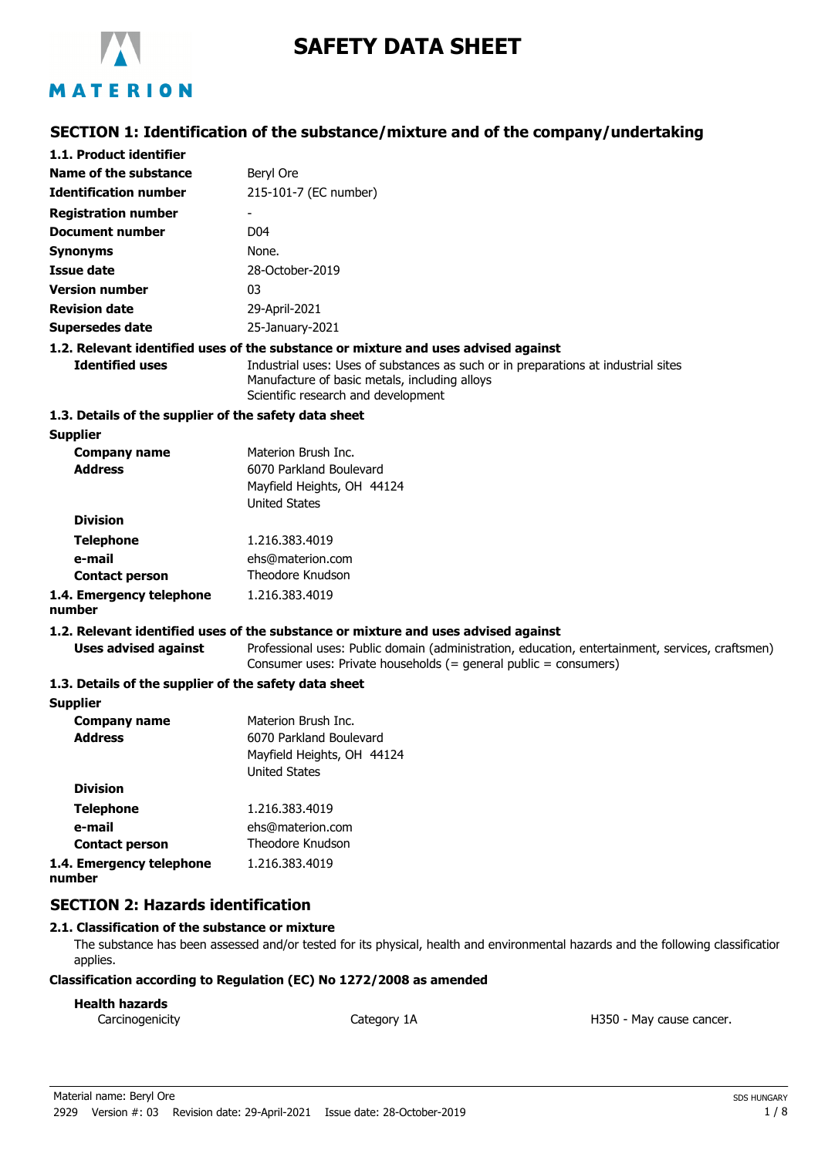

# **SAFETY DATA SHEET**

## **SECTION 1: Identification of the substance/mixture and of the company/undertaking**

| 1.1. Product identifier                               |                                                                                                                                                                            |
|-------------------------------------------------------|----------------------------------------------------------------------------------------------------------------------------------------------------------------------------|
| Name of the substance                                 | Beryl Ore                                                                                                                                                                  |
| <b>Identification number</b>                          | 215-101-7 (EC number)                                                                                                                                                      |
| <b>Registration number</b>                            |                                                                                                                                                                            |
| <b>Document number</b>                                | D <sub>04</sub>                                                                                                                                                            |
| <b>Synonyms</b>                                       | None.                                                                                                                                                                      |
| <b>Issue date</b>                                     | 28-October-2019                                                                                                                                                            |
| <b>Version number</b>                                 | 03                                                                                                                                                                         |
| <b>Revision date</b>                                  | 29-April-2021                                                                                                                                                              |
| <b>Supersedes date</b>                                | 25-January-2021                                                                                                                                                            |
|                                                       | 1.2. Relevant identified uses of the substance or mixture and uses advised against                                                                                         |
| <b>Identified uses</b>                                | Industrial uses: Uses of substances as such or in preparations at industrial sites<br>Manufacture of basic metals, including alloys<br>Scientific research and development |
| 1.3. Details of the supplier of the safety data sheet |                                                                                                                                                                            |
| <b>Supplier</b>                                       |                                                                                                                                                                            |
| <b>Company name</b>                                   | Materion Brush Inc.                                                                                                                                                        |
| <b>Address</b>                                        | 6070 Parkland Boulevard                                                                                                                                                    |
|                                                       | Mayfield Heights, OH 44124<br><b>United States</b>                                                                                                                         |
| <b>Division</b>                                       |                                                                                                                                                                            |
| <b>Telephone</b>                                      | 1.216.383.4019                                                                                                                                                             |
| e-mail                                                | ehs@materion.com                                                                                                                                                           |
| <b>Contact person</b>                                 | Theodore Knudson                                                                                                                                                           |
| 1.4. Emergency telephone<br>number                    | 1.216.383.4019                                                                                                                                                             |
|                                                       | 1.2. Relevant identified uses of the substance or mixture and uses advised against                                                                                         |
| <b>Uses advised against</b>                           | Professional uses: Public domain (administration, education, entertainment, services, craftsmen)<br>Consumer uses: Private households (= general public = consumers)       |
| 1.3. Details of the supplier of the safety data sheet |                                                                                                                                                                            |
| <b>Supplier</b>                                       |                                                                                                                                                                            |
| <b>Company name</b>                                   | Materion Brush Inc.                                                                                                                                                        |
| <b>Address</b>                                        | 6070 Parkland Boulevard                                                                                                                                                    |
|                                                       | Mayfield Heights, OH 44124                                                                                                                                                 |
| <b>Division</b>                                       | <b>United States</b>                                                                                                                                                       |
| Talanhana                                             | 1.210.202.4010                                                                                                                                                             |
|                                                       |                                                                                                                                                                            |

| <b>Telephone</b>         | 1.216.383.4019   |
|--------------------------|------------------|
| e-mail                   | ehs@materion.com |
| <b>Contact person</b>    | Theodore Knudson |
| 1.4. Emergency telephone | 1.216.383.4019   |
| number                   |                  |

## **SECTION 2: Hazards identification**

#### **2.1. Classification of the substance or mixture**

The substance has been assessed and/or tested for its physical, health and environmental hazards and the following classification applies.

#### **Classification according to Regulation (EC) No 1272/2008 as amended**

### **Health hazards**

Carcinogenicity **Category 1A** Category 1A **Carcinogenicity** H350 - May cause cancer.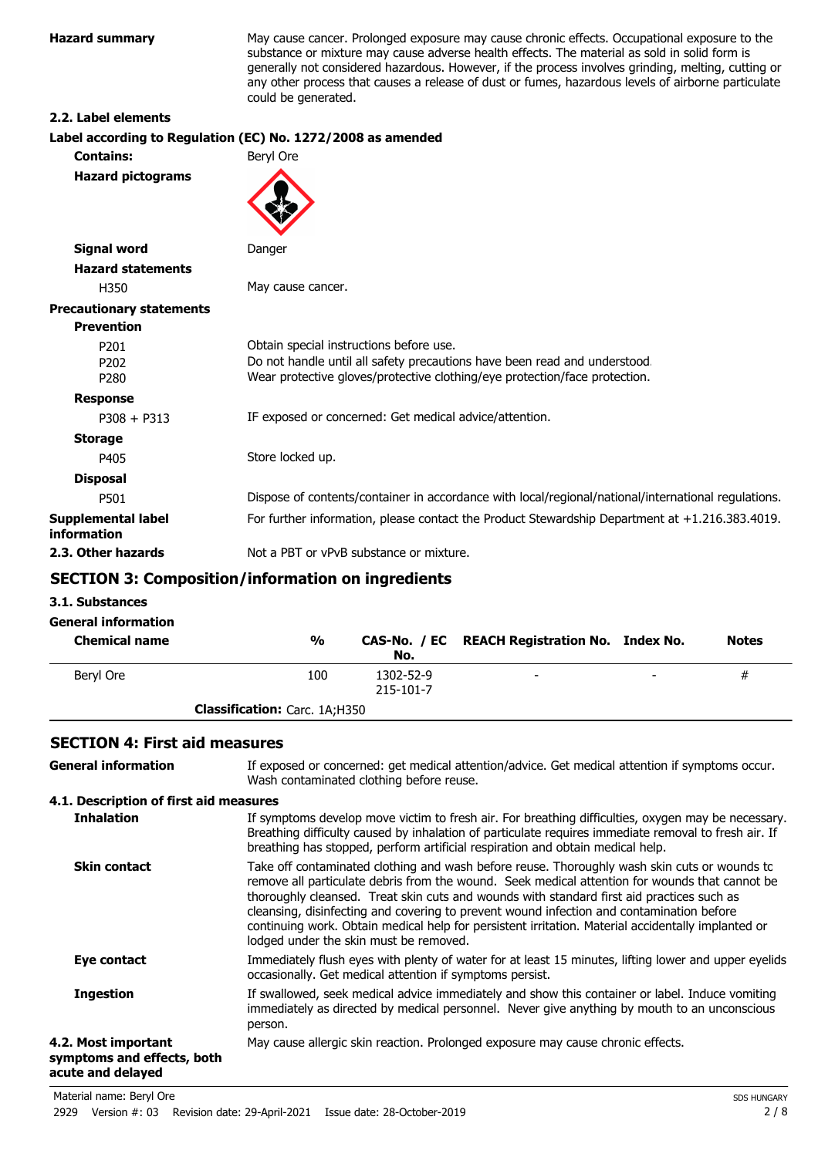**Hazard summary** May cause cancer. Prolonged exposure may cause chronic effects. Occupational exposure to the substance or mixture may cause adverse health effects. The material as sold in solid form is generally not considered hazardous. However, if the process involves grinding, melting, cutting or any other process that causes a release of dust or fumes, hazardous levels of airborne particulate could be generated.

#### **2.2. Label elements**

| Label according to Regulation (EC) No. 1272/2008 as amended                                                                                             |
|---------------------------------------------------------------------------------------------------------------------------------------------------------|
| Beryl Ore                                                                                                                                               |
|                                                                                                                                                         |
| Danger                                                                                                                                                  |
|                                                                                                                                                         |
| May cause cancer.                                                                                                                                       |
|                                                                                                                                                         |
|                                                                                                                                                         |
| Obtain special instructions before use.                                                                                                                 |
| Do not handle until all safety precautions have been read and understood.<br>Wear protective gloves/protective clothing/eye protection/face protection. |
|                                                                                                                                                         |
| IF exposed or concerned: Get medical advice/attention.                                                                                                  |
|                                                                                                                                                         |
| Store locked up.                                                                                                                                        |
|                                                                                                                                                         |
| Dispose of contents/container in accordance with local/regional/national/international regulations.                                                     |
| For further information, please contact the Product Stewardship Department at +1.216.383.4019.                                                          |
| Not a PBT or vPvB substance or mixture.                                                                                                                 |
|                                                                                                                                                         |

## **SECTION 3: Composition/information on ingredients**

#### **3.1. Substances**

| <b>General information</b><br><b>Chemical name</b> | $\frac{0}{0}$                        | No.                    | CAS-No. / EC REACH Registration No. Index No. |   | <b>Notes</b> |
|----------------------------------------------------|--------------------------------------|------------------------|-----------------------------------------------|---|--------------|
| Beryl Ore                                          | 100                                  | 1302-52-9<br>215-101-7 | $\overline{\phantom{0}}$                      | - | #            |
|                                                    | <b>Classification:</b> Carc. 1A;H350 |                        |                                               |   |              |

## **SECTION 4: First aid measures**

| <b>General information</b>                                             | If exposed or concerned: get medical attention/advice. Get medical attention if symptoms occur.<br>Wash contaminated clothing before reuse.                                                                                                                                                                                                                                                                                                                                                                                             |
|------------------------------------------------------------------------|-----------------------------------------------------------------------------------------------------------------------------------------------------------------------------------------------------------------------------------------------------------------------------------------------------------------------------------------------------------------------------------------------------------------------------------------------------------------------------------------------------------------------------------------|
| 4.1. Description of first aid measures                                 |                                                                                                                                                                                                                                                                                                                                                                                                                                                                                                                                         |
| <b>Inhalation</b>                                                      | If symptoms develop move victim to fresh air. For breathing difficulties, oxygen may be necessary.<br>Breathing difficulty caused by inhalation of particulate requires immediate removal to fresh air. If<br>breathing has stopped, perform artificial respiration and obtain medical help.                                                                                                                                                                                                                                            |
| <b>Skin contact</b>                                                    | Take off contaminated clothing and wash before reuse. Thoroughly wash skin cuts or wounds to<br>remove all particulate debris from the wound. Seek medical attention for wounds that cannot be<br>thoroughly cleansed. Treat skin cuts and wounds with standard first aid practices such as<br>cleansing, disinfecting and covering to prevent wound infection and contamination before<br>continuing work. Obtain medical help for persistent irritation. Material accidentally implanted or<br>lodged under the skin must be removed. |
| Eye contact                                                            | Immediately flush eyes with plenty of water for at least 15 minutes, lifting lower and upper eyelids<br>occasionally. Get medical attention if symptoms persist.                                                                                                                                                                                                                                                                                                                                                                        |
| <b>Ingestion</b>                                                       | If swallowed, seek medical advice immediately and show this container or label. Induce vomiting<br>immediately as directed by medical personnel. Never give anything by mouth to an unconscious<br>person.                                                                                                                                                                                                                                                                                                                              |
| 4.2. Most important<br>symptoms and effects, both<br>acute and delayed | May cause allergic skin reaction. Prolonged exposure may cause chronic effects.                                                                                                                                                                                                                                                                                                                                                                                                                                                         |
|                                                                        |                                                                                                                                                                                                                                                                                                                                                                                                                                                                                                                                         |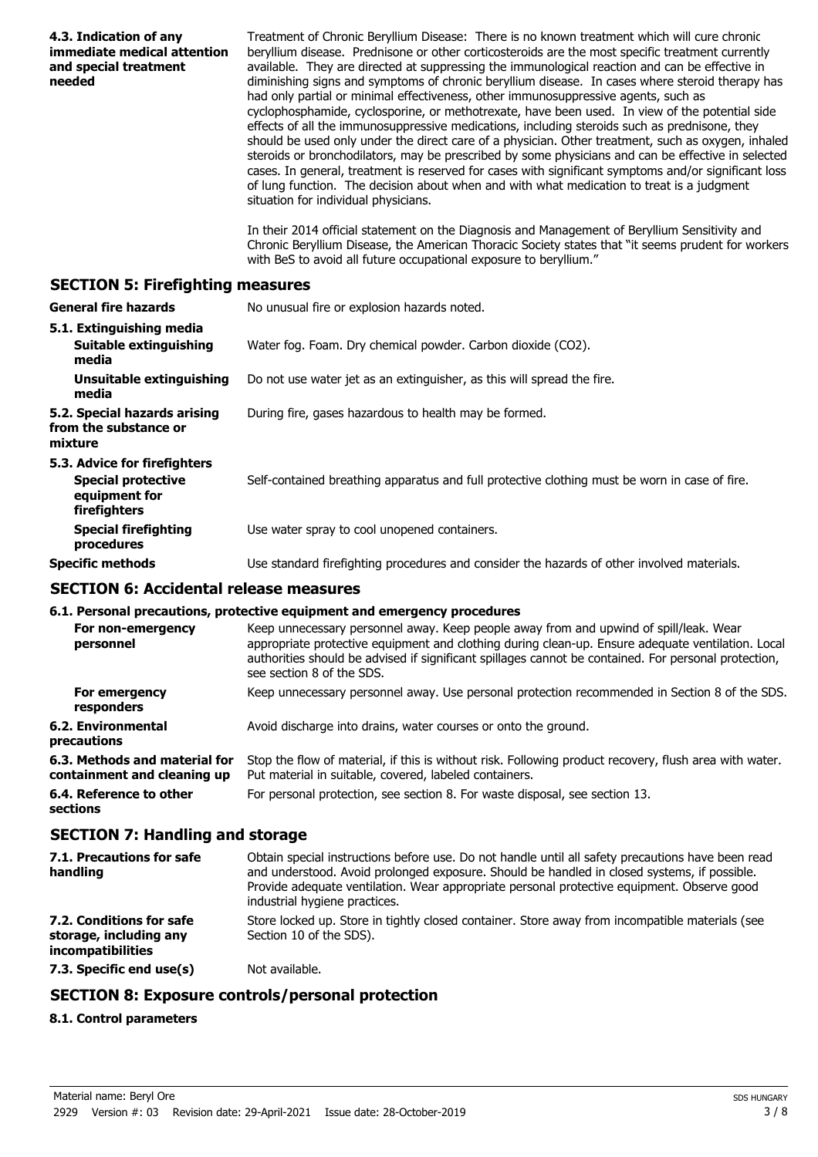| 4.3. Indication of any<br>immediate medical attention<br>and special treatment<br>needed   | Treatment of Chronic Beryllium Disease: There is no known treatment which will cure chronic<br>beryllium disease. Prednisone or other corticosteroids are the most specific treatment currently<br>available. They are directed at suppressing the immunological reaction and can be effective in<br>diminishing signs and symptoms of chronic beryllium disease. In cases where steroid therapy has<br>had only partial or minimal effectiveness, other immunosuppressive agents, such as<br>cyclophosphamide, cyclosporine, or methotrexate, have been used. In view of the potential side<br>effects of all the immunosuppressive medications, including steroids such as prednisone, they<br>should be used only under the direct care of a physician. Other treatment, such as oxygen, inhaled<br>steroids or bronchodilators, may be prescribed by some physicians and can be effective in selected<br>cases. In general, treatment is reserved for cases with significant symptoms and/or significant loss<br>of lung function. The decision about when and with what medication to treat is a judgment<br>situation for individual physicians.<br>In their 2014 official statement on the Diagnosis and Management of Beryllium Sensitivity and<br>Chronic Beryllium Disease, the American Thoracic Society states that "it seems prudent for workers |
|--------------------------------------------------------------------------------------------|---------------------------------------------------------------------------------------------------------------------------------------------------------------------------------------------------------------------------------------------------------------------------------------------------------------------------------------------------------------------------------------------------------------------------------------------------------------------------------------------------------------------------------------------------------------------------------------------------------------------------------------------------------------------------------------------------------------------------------------------------------------------------------------------------------------------------------------------------------------------------------------------------------------------------------------------------------------------------------------------------------------------------------------------------------------------------------------------------------------------------------------------------------------------------------------------------------------------------------------------------------------------------------------------------------------------------------------------------------------|
|                                                                                            | with BeS to avoid all future occupational exposure to beryllium."                                                                                                                                                                                                                                                                                                                                                                                                                                                                                                                                                                                                                                                                                                                                                                                                                                                                                                                                                                                                                                                                                                                                                                                                                                                                                             |
| <b>SECTION 5: Firefighting measures</b>                                                    |                                                                                                                                                                                                                                                                                                                                                                                                                                                                                                                                                                                                                                                                                                                                                                                                                                                                                                                                                                                                                                                                                                                                                                                                                                                                                                                                                               |
| <b>General fire hazards</b>                                                                | No unusual fire or explosion hazards noted.                                                                                                                                                                                                                                                                                                                                                                                                                                                                                                                                                                                                                                                                                                                                                                                                                                                                                                                                                                                                                                                                                                                                                                                                                                                                                                                   |
| 5.1. Extinguishing media<br><b>Suitable extinguishing</b><br>media                         | Water fog. Foam. Dry chemical powder. Carbon dioxide (CO2).                                                                                                                                                                                                                                                                                                                                                                                                                                                                                                                                                                                                                                                                                                                                                                                                                                                                                                                                                                                                                                                                                                                                                                                                                                                                                                   |
| <b>Unsuitable extinguishing</b><br>media                                                   | Do not use water jet as an extinguisher, as this will spread the fire.                                                                                                                                                                                                                                                                                                                                                                                                                                                                                                                                                                                                                                                                                                                                                                                                                                                                                                                                                                                                                                                                                                                                                                                                                                                                                        |
| 5.2. Special hazards arising<br>from the substance or<br>mixture                           | During fire, gases hazardous to health may be formed.                                                                                                                                                                                                                                                                                                                                                                                                                                                                                                                                                                                                                                                                                                                                                                                                                                                                                                                                                                                                                                                                                                                                                                                                                                                                                                         |
| 5.3. Advice for firefighters<br><b>Special protective</b><br>equipment for<br>firefighters | Self-contained breathing apparatus and full protective clothing must be worn in case of fire.                                                                                                                                                                                                                                                                                                                                                                                                                                                                                                                                                                                                                                                                                                                                                                                                                                                                                                                                                                                                                                                                                                                                                                                                                                                                 |
| <b>Special firefighting</b><br>procedures                                                  | Use water spray to cool unopened containers.                                                                                                                                                                                                                                                                                                                                                                                                                                                                                                                                                                                                                                                                                                                                                                                                                                                                                                                                                                                                                                                                                                                                                                                                                                                                                                                  |
| <b>Specific methods</b>                                                                    | Use standard firefighting procedures and consider the hazards of other involved materials.                                                                                                                                                                                                                                                                                                                                                                                                                                                                                                                                                                                                                                                                                                                                                                                                                                                                                                                                                                                                                                                                                                                                                                                                                                                                    |
| <b>SECTION 6: Accidental release measures</b>                                              |                                                                                                                                                                                                                                                                                                                                                                                                                                                                                                                                                                                                                                                                                                                                                                                                                                                                                                                                                                                                                                                                                                                                                                                                                                                                                                                                                               |
|                                                                                            | 6.1. Personal precautions, protective equipment and emergency procedures                                                                                                                                                                                                                                                                                                                                                                                                                                                                                                                                                                                                                                                                                                                                                                                                                                                                                                                                                                                                                                                                                                                                                                                                                                                                                      |
| personnel                                                                                  | For non-emergency Keep unnecessary personnel away. Keep people away from and upwind of spill/leak. Wear<br>appropriate protective equipment and clothing during clean-up. Ensure adequate ventilation. Local<br>authorities should be advised if significant spillages cannot be contained. For personal protection,<br>see section 8 of the SDS.                                                                                                                                                                                                                                                                                                                                                                                                                                                                                                                                                                                                                                                                                                                                                                                                                                                                                                                                                                                                             |
| For emergency<br>responders                                                                | Keep unnecessary personnel away. Use personal protection recommended in Section 8 of the SDS.                                                                                                                                                                                                                                                                                                                                                                                                                                                                                                                                                                                                                                                                                                                                                                                                                                                                                                                                                                                                                                                                                                                                                                                                                                                                 |
| <b>6.2. Environmental</b><br>precautions                                                   | Avoid discharge into drains, water courses or onto the ground.                                                                                                                                                                                                                                                                                                                                                                                                                                                                                                                                                                                                                                                                                                                                                                                                                                                                                                                                                                                                                                                                                                                                                                                                                                                                                                |
| 6.3. Methods and material for<br>containment and cleaning up                               | Stop the flow of material, if this is without risk. Following product recovery, flush area with water.<br>Put material in suitable, covered, labeled containers.                                                                                                                                                                                                                                                                                                                                                                                                                                                                                                                                                                                                                                                                                                                                                                                                                                                                                                                                                                                                                                                                                                                                                                                              |
| 6.4. Reference to other<br>sections                                                        | For personal protection, see section 8. For waste disposal, see section 13.                                                                                                                                                                                                                                                                                                                                                                                                                                                                                                                                                                                                                                                                                                                                                                                                                                                                                                                                                                                                                                                                                                                                                                                                                                                                                   |
| <b>SECTION 7: Handling and storage</b>                                                     |                                                                                                                                                                                                                                                                                                                                                                                                                                                                                                                                                                                                                                                                                                                                                                                                                                                                                                                                                                                                                                                                                                                                                                                                                                                                                                                                                               |
| 7.1. Precautions for safe<br>handling                                                      | Obtain special instructions before use. Do not handle until all safety precautions have been read<br>and understood. Avoid prolonged exposure. Should be handled in closed systems, if possible.<br>Provide adequate ventilation. Wear appropriate personal protective equipment. Observe good<br>industrial hygiene practices.                                                                                                                                                                                                                                                                                                                                                                                                                                                                                                                                                                                                                                                                                                                                                                                                                                                                                                                                                                                                                               |
| 7.2. Conditions for safe<br>storage, including any<br>incompatibilities                    | Store locked up. Store in tightly closed container. Store away from incompatible materials (see<br>Section 10 of the SDS).                                                                                                                                                                                                                                                                                                                                                                                                                                                                                                                                                                                                                                                                                                                                                                                                                                                                                                                                                                                                                                                                                                                                                                                                                                    |
| 7.3. Specific end use(s)                                                                   | Not available.                                                                                                                                                                                                                                                                                                                                                                                                                                                                                                                                                                                                                                                                                                                                                                                                                                                                                                                                                                                                                                                                                                                                                                                                                                                                                                                                                |
|                                                                                            | <b>SECTION 8: Exposure controls/personal protection</b>                                                                                                                                                                                                                                                                                                                                                                                                                                                                                                                                                                                                                                                                                                                                                                                                                                                                                                                                                                                                                                                                                                                                                                                                                                                                                                       |
| 8.1. Control parameters                                                                    |                                                                                                                                                                                                                                                                                                                                                                                                                                                                                                                                                                                                                                                                                                                                                                                                                                                                                                                                                                                                                                                                                                                                                                                                                                                                                                                                                               |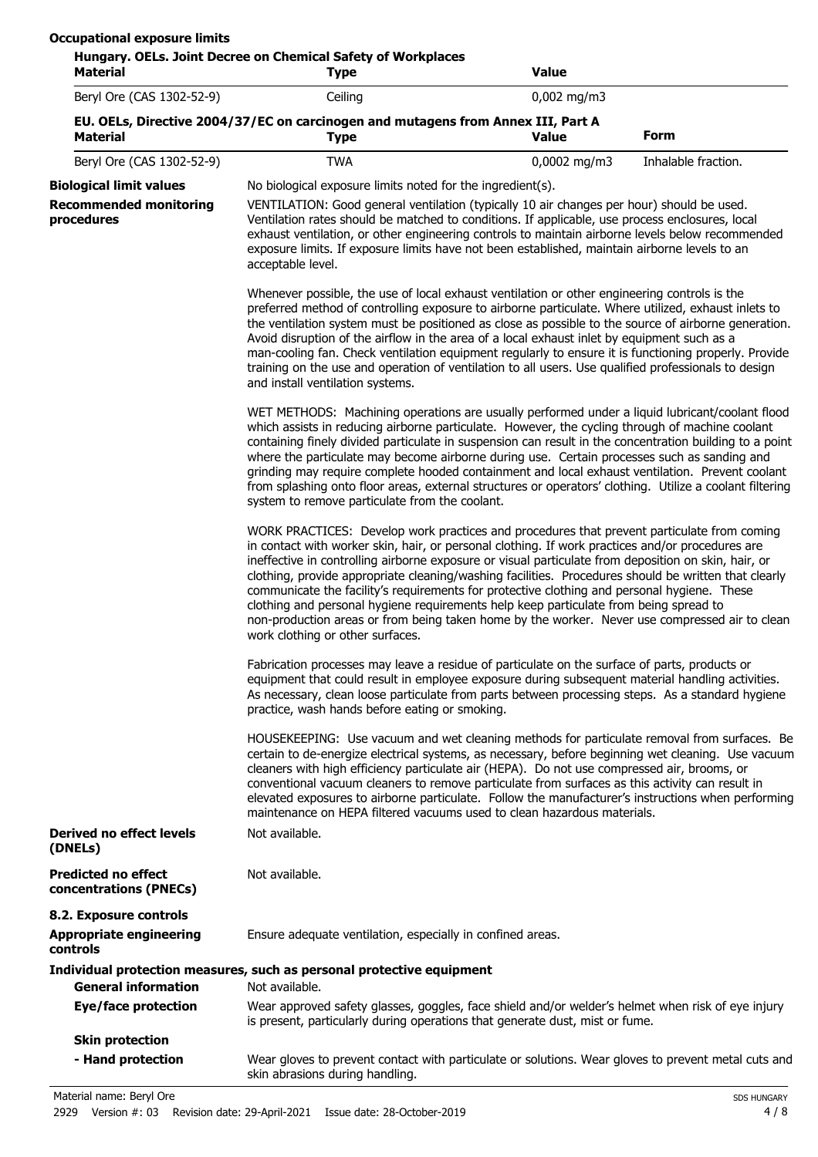| <b>Material</b>                                      | <b>Type</b>                                                                                                                                                                                                                                                                                                                                                                                                                                                                                                                                                                                                                                                                                                                                  | <b>Value</b>  |                     |  |
|------------------------------------------------------|----------------------------------------------------------------------------------------------------------------------------------------------------------------------------------------------------------------------------------------------------------------------------------------------------------------------------------------------------------------------------------------------------------------------------------------------------------------------------------------------------------------------------------------------------------------------------------------------------------------------------------------------------------------------------------------------------------------------------------------------|---------------|---------------------|--|
| Beryl Ore (CAS 1302-52-9)                            | Ceiling                                                                                                                                                                                                                                                                                                                                                                                                                                                                                                                                                                                                                                                                                                                                      | $0,002$ mg/m3 |                     |  |
| <b>Material</b>                                      | EU. OELs, Directive 2004/37/EC on carcinogen and mutagens from Annex III, Part A<br><b>Type</b>                                                                                                                                                                                                                                                                                                                                                                                                                                                                                                                                                                                                                                              | <b>Value</b>  | <b>Form</b>         |  |
| Beryl Ore (CAS 1302-52-9)                            | <b>TWA</b>                                                                                                                                                                                                                                                                                                                                                                                                                                                                                                                                                                                                                                                                                                                                   | 0,0002 mg/m3  | Inhalable fraction. |  |
| <b>Biological limit values</b>                       | No biological exposure limits noted for the ingredient(s).                                                                                                                                                                                                                                                                                                                                                                                                                                                                                                                                                                                                                                                                                   |               |                     |  |
| <b>Recommended monitoring</b><br>procedures          | VENTILATION: Good general ventilation (typically 10 air changes per hour) should be used.<br>Ventilation rates should be matched to conditions. If applicable, use process enclosures, local<br>exhaust ventilation, or other engineering controls to maintain airborne levels below recommended<br>exposure limits. If exposure limits have not been established, maintain airborne levels to an<br>acceptable level.                                                                                                                                                                                                                                                                                                                       |               |                     |  |
|                                                      | Whenever possible, the use of local exhaust ventilation or other engineering controls is the<br>preferred method of controlling exposure to airborne particulate. Where utilized, exhaust inlets to<br>the ventilation system must be positioned as close as possible to the source of airborne generation.<br>Avoid disruption of the airflow in the area of a local exhaust inlet by equipment such as a<br>man-cooling fan. Check ventilation equipment regularly to ensure it is functioning properly. Provide<br>training on the use and operation of ventilation to all users. Use qualified professionals to design<br>and install ventilation systems.                                                                               |               |                     |  |
|                                                      | WET METHODS: Machining operations are usually performed under a liquid lubricant/coolant flood<br>which assists in reducing airborne particulate. However, the cycling through of machine coolant<br>containing finely divided particulate in suspension can result in the concentration building to a point<br>where the particulate may become airborne during use. Certain processes such as sanding and<br>grinding may require complete hooded containment and local exhaust ventilation. Prevent coolant<br>from splashing onto floor areas, external structures or operators' clothing. Utilize a coolant filtering<br>system to remove particulate from the coolant.                                                                 |               |                     |  |
|                                                      | WORK PRACTICES: Develop work practices and procedures that prevent particulate from coming<br>in contact with worker skin, hair, or personal clothing. If work practices and/or procedures are<br>ineffective in controlling airborne exposure or visual particulate from deposition on skin, hair, or<br>clothing, provide appropriate cleaning/washing facilities. Procedures should be written that clearly<br>communicate the facility's requirements for protective clothing and personal hygiene. These<br>clothing and personal hygiene requirements help keep particulate from being spread to<br>non-production areas or from being taken home by the worker. Never use compressed air to clean<br>work clothing or other surfaces. |               |                     |  |
|                                                      | Fabrication processes may leave a residue of particulate on the surface of parts, products or<br>equipment that could result in employee exposure during subsequent material handling activities.<br>As necessary, clean loose particulate from parts between processing steps. As a standard hygiene<br>practice, wash hands before eating or smoking.                                                                                                                                                                                                                                                                                                                                                                                      |               |                     |  |
|                                                      | HOUSEKEEPING: Use vacuum and wet cleaning methods for particulate removal from surfaces. Be<br>certain to de-energize electrical systems, as necessary, before beginning wet cleaning. Use vacuum<br>cleaners with high efficiency particulate air (HEPA). Do not use compressed air, brooms, or<br>conventional vacuum cleaners to remove particulate from surfaces as this activity can result in<br>elevated exposures to airborne particulate. Follow the manufacturer's instructions when performing<br>maintenance on HEPA filtered vacuums used to clean hazardous materials.                                                                                                                                                         |               |                     |  |
| <b>Derived no effect levels</b><br>(DNELs)           | Not available.                                                                                                                                                                                                                                                                                                                                                                                                                                                                                                                                                                                                                                                                                                                               |               |                     |  |
| <b>Predicted no effect</b><br>concentrations (PNECs) | Not available.                                                                                                                                                                                                                                                                                                                                                                                                                                                                                                                                                                                                                                                                                                                               |               |                     |  |
| 8.2. Exposure controls                               |                                                                                                                                                                                                                                                                                                                                                                                                                                                                                                                                                                                                                                                                                                                                              |               |                     |  |
| <b>Appropriate engineering</b><br>controls           | Ensure adequate ventilation, especially in confined areas.                                                                                                                                                                                                                                                                                                                                                                                                                                                                                                                                                                                                                                                                                   |               |                     |  |
| <b>General information</b>                           | Individual protection measures, such as personal protective equipment<br>Not available.                                                                                                                                                                                                                                                                                                                                                                                                                                                                                                                                                                                                                                                      |               |                     |  |
| <b>Eye/face protection</b>                           | Wear approved safety glasses, goggles, face shield and/or welder's helmet when risk of eye injury<br>is present, particularly during operations that generate dust, mist or fume.                                                                                                                                                                                                                                                                                                                                                                                                                                                                                                                                                            |               |                     |  |
| <b>Skin protection</b>                               |                                                                                                                                                                                                                                                                                                                                                                                                                                                                                                                                                                                                                                                                                                                                              |               |                     |  |
| - Hand protection                                    | Wear gloves to prevent contact with particulate or solutions. Wear gloves to prevent metal cuts and<br>skin abrasions during handling.                                                                                                                                                                                                                                                                                                                                                                                                                                                                                                                                                                                                       |               |                     |  |

Material name: Beryl Ore Subset of the Subset of the Subset of the Subset of the Subset of the Subset of the Subset of the Subset of the Subset of the Subset of the Subset of the Subset of the Subset of the Subset of the S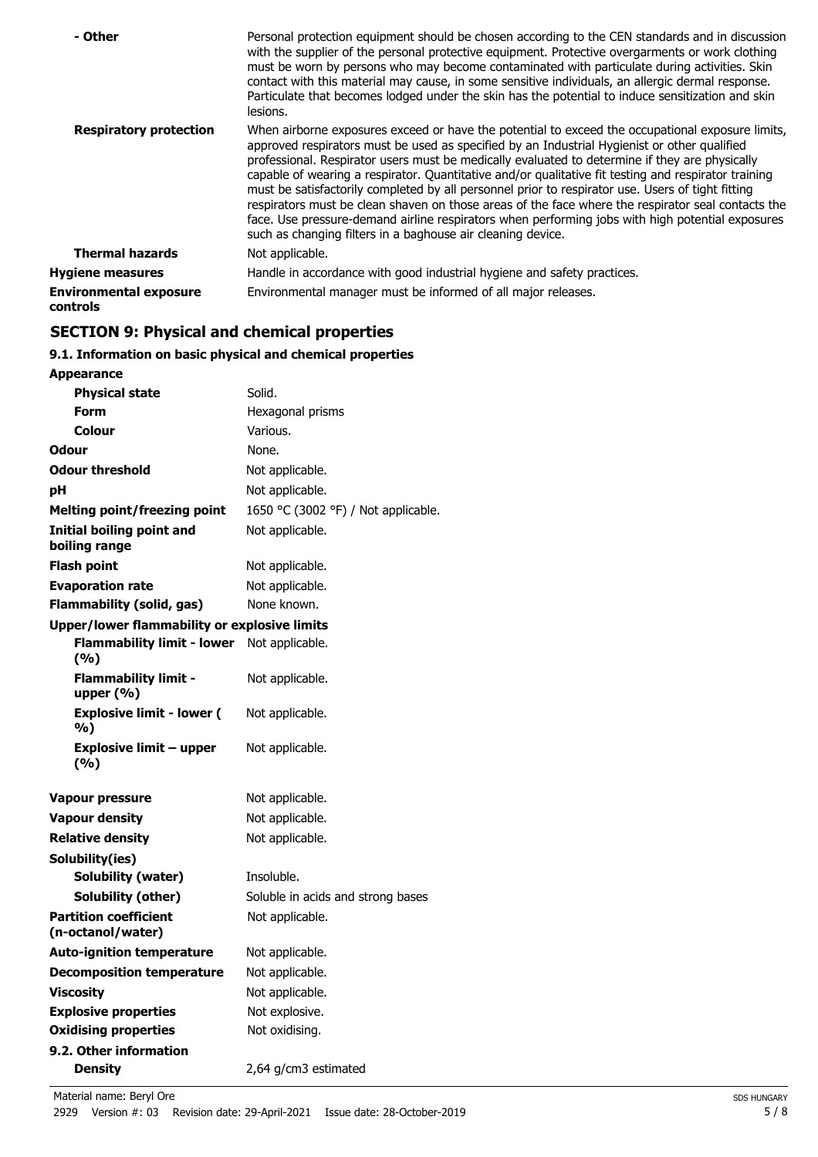| - Other                                          | Personal protection equipment should be chosen according to the CEN standards and in discussion<br>with the supplier of the personal protective equipment. Protective overgarments or work clothing<br>must be worn by persons who may become contaminated with particulate during activities. Skin<br>contact with this material may cause, in some sensitive individuals, an allergic dermal response.<br>Particulate that becomes lodged under the skin has the potential to induce sensitization and skin<br>lesions.                                                                                                                                                                                                                                                                |
|--------------------------------------------------|------------------------------------------------------------------------------------------------------------------------------------------------------------------------------------------------------------------------------------------------------------------------------------------------------------------------------------------------------------------------------------------------------------------------------------------------------------------------------------------------------------------------------------------------------------------------------------------------------------------------------------------------------------------------------------------------------------------------------------------------------------------------------------------|
| <b>Respiratory protection</b>                    | When airborne exposures exceed or have the potential to exceed the occupational exposure limits,<br>approved respirators must be used as specified by an Industrial Hygienist or other qualified<br>professional. Respirator users must be medically evaluated to determine if they are physically<br>capable of wearing a respirator. Quantitative and/or qualitative fit testing and respirator training<br>must be satisfactorily completed by all personnel prior to respirator use. Users of tight fitting<br>respirators must be clean shaven on those areas of the face where the respirator seal contacts the<br>face. Use pressure-demand airline respirators when performing jobs with high potential exposures<br>such as changing filters in a baghouse air cleaning device. |
| <b>Thermal hazards</b>                           | Not applicable.                                                                                                                                                                                                                                                                                                                                                                                                                                                                                                                                                                                                                                                                                                                                                                          |
| <b>Hygiene measures</b>                          | Handle in accordance with good industrial hygiene and safety practices.                                                                                                                                                                                                                                                                                                                                                                                                                                                                                                                                                                                                                                                                                                                  |
| <b>Environmental exposure</b><br><b>controls</b> | Environmental manager must be informed of all major releases.                                                                                                                                                                                                                                                                                                                                                                                                                                                                                                                                                                                                                                                                                                                            |

# **SECTION 9: Physical and chemical properties**

## **9.1. Information on basic physical and chemical properties**

| <b>Appearance</b>                                   |                                     |
|-----------------------------------------------------|-------------------------------------|
| <b>Physical state</b>                               | Solid.                              |
| Form                                                | Hexagonal prisms                    |
| <b>Colour</b>                                       | Various.                            |
| Odour                                               | None.                               |
| <b>Odour threshold</b>                              | Not applicable.                     |
| рH                                                  | Not applicable.                     |
| <b>Melting point/freezing point</b>                 | 1650 °C (3002 °F) / Not applicable. |
| Initial boiling point and<br>boiling range          | Not applicable.                     |
| Flash point                                         | Not applicable.                     |
| <b>Evaporation rate</b>                             | Not applicable.                     |
| <b>Flammability (solid, gas)</b>                    | None known.                         |
| <b>Upper/lower flammability or explosive limits</b> |                                     |
| <b>Flammability limit - lower</b><br>(%)            | Not applicable.                     |
| Flammability limit -<br>upper $(\%)$                | Not applicable.                     |
| <b>Explosive limit - lower (</b><br>%)              | Not applicable.                     |
| <b>Explosive limit - upper</b><br>(%)               | Not applicable.                     |
| <b>Vapour pressure</b>                              | Not applicable.                     |
| <b>Vapour density</b>                               | Not applicable.                     |
| <b>Relative density</b>                             | Not applicable.                     |
| Solubility(ies)                                     |                                     |
| <b>Solubility (water)</b>                           | Insoluble.                          |
| Solubility (other)                                  | Soluble in acids and strong bases   |
| <b>Partition coefficient</b><br>(n-octanol/water)   | Not applicable.                     |
| <b>Auto-ignition temperature</b>                    | Not applicable.                     |
| <b>Decomposition temperature</b>                    | Not applicable.                     |
| <b>Viscosity</b>                                    | Not applicable.                     |
| <b>Explosive properties</b>                         | Not explosive.                      |
| <b>Oxidising properties</b>                         | Not oxidising.                      |
| 9.2. Other information                              |                                     |
| <b>Density</b>                                      | 2,64 g/cm3 estimated                |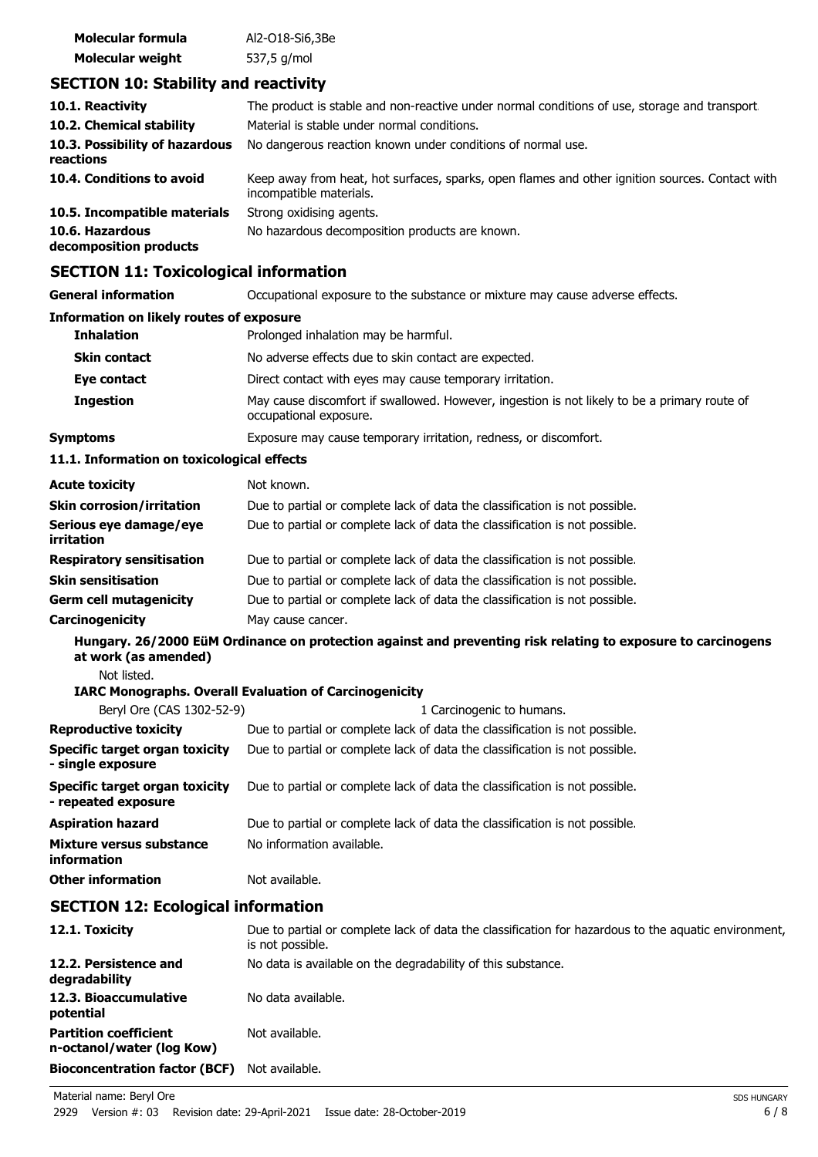| Molecular formula       | Al2-018-Si6,3Be |
|-------------------------|-----------------|
| <b>Molecular weight</b> | 537,5 g/mol     |

# **SECTION 10: Stability and reactivity**

| 10.1. Reactivity                            | The product is stable and non-reactive under normal conditions of use, storage and transport.                              |
|---------------------------------------------|----------------------------------------------------------------------------------------------------------------------------|
| 10.2. Chemical stability                    | Material is stable under normal conditions.                                                                                |
| 10.3. Possibility of hazardous<br>reactions | No dangerous reaction known under conditions of normal use.                                                                |
| 10.4. Conditions to avoid                   | Keep away from heat, hot surfaces, sparks, open flames and other ignition sources. Contact with<br>incompatible materials. |
| 10.5. Incompatible materials                | Strong oxidising agents.                                                                                                   |
| 10.6. Hazardous<br>decomposition products   | No hazardous decomposition products are known.                                                                             |

## **SECTION 11: Toxicological information**

| SECTION II. TOXICORGICAL IIIOHIIAGON                  |                                                                                                                        |  |
|-------------------------------------------------------|------------------------------------------------------------------------------------------------------------------------|--|
| <b>General information</b>                            | Occupational exposure to the substance or mixture may cause adverse effects.                                           |  |
| <b>Information on likely routes of exposure</b>       |                                                                                                                        |  |
| <b>Inhalation</b>                                     | Prolonged inhalation may be harmful.                                                                                   |  |
| <b>Skin contact</b>                                   | No adverse effects due to skin contact are expected.                                                                   |  |
| Eye contact                                           | Direct contact with eyes may cause temporary irritation.                                                               |  |
| <b>Ingestion</b>                                      | May cause discomfort if swallowed. However, ingestion is not likely to be a primary route of<br>occupational exposure. |  |
| <b>Symptoms</b>                                       | Exposure may cause temporary irritation, redness, or discomfort.                                                       |  |
| 11.1. Information on toxicological effects            |                                                                                                                        |  |
| <b>Acute toxicity</b>                                 | Not known.                                                                                                             |  |
| <b>Skin corrosion/irritation</b>                      | Due to partial or complete lack of data the classification is not possible.                                            |  |
| Serious eye damage/eye<br>irritation                  | Due to partial or complete lack of data the classification is not possible.                                            |  |
| <b>Respiratory sensitisation</b>                      | Due to partial or complete lack of data the classification is not possible.                                            |  |
| <b>Skin sensitisation</b>                             | Due to partial or complete lack of data the classification is not possible.                                            |  |
| <b>Germ cell mutagenicity</b>                         | Due to partial or complete lack of data the classification is not possible.                                            |  |
| Carcinogenicity                                       | May cause cancer.                                                                                                      |  |
| at work (as amended)                                  | Hungary. 26/2000 EüM Ordinance on protection against and preventing risk relating to exposure to carcinogens           |  |
| Not listed.                                           |                                                                                                                        |  |
| Beryl Ore (CAS 1302-52-9)                             | <b>IARC Monographs. Overall Evaluation of Carcinogenicity</b><br>1 Carcinogenic to humans.                             |  |
| <b>Reproductive toxicity</b>                          | Due to partial or complete lack of data the classification is not possible.                                            |  |
| Specific target organ toxicity                        | Due to partial or complete lack of data the classification is not possible.                                            |  |
| - single exposure                                     |                                                                                                                        |  |
| Specific target organ toxicity<br>- repeated exposure | Due to partial or complete lack of data the classification is not possible.                                            |  |
| <b>Aspiration hazard</b>                              | Due to partial or complete lack of data the classification is not possible.                                            |  |
| <b>Mixture versus substance</b><br>information        | No information available.                                                                                              |  |
| <b>Other information</b>                              | Not available.                                                                                                         |  |
| <b>SECTION 12: Ecological information</b>             |                                                                                                                        |  |
| 12.1. Toxicity                                        | Due to partial or complete lack of data the classification for hazardous to the aquatic environment,<br>واطنوه موسوعات |  |

### is not possible. **12.2. Persistence and** No data is available on the degradability of this substance. **degradability** 12.3. Bioaccumulative No data available. **potential Partition coefficient n-octanol/water (log Kow)** Not available.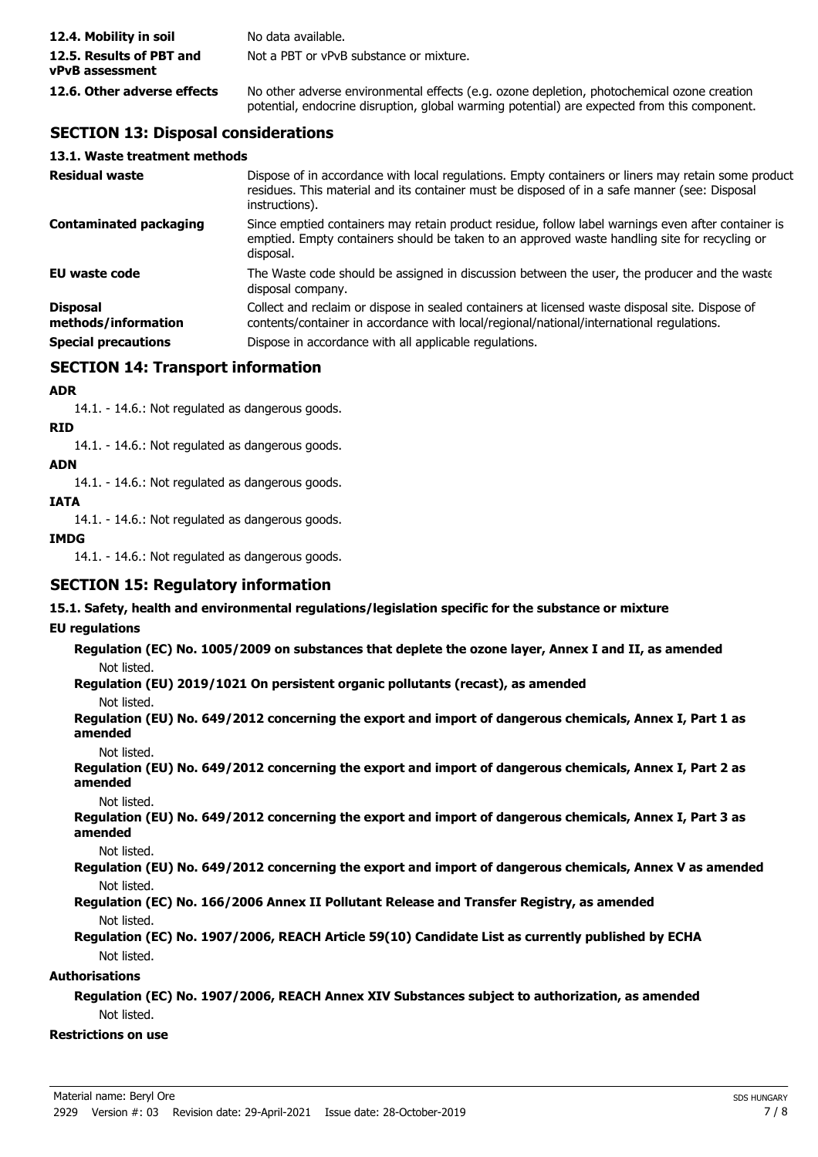| 12.4. Mobility in soil                      | No data available.                                                                                                                                                                         |
|---------------------------------------------|--------------------------------------------------------------------------------------------------------------------------------------------------------------------------------------------|
| 12.5. Results of PBT and<br>vPvB assessment | Not a PBT or vPvB substance or mixture.                                                                                                                                                    |
| 12.6. Other adverse effects                 | No other adverse environmental effects (e.g. ozone depletion, photochemical ozone creation<br>potential, endocrine disruption, global warming potential) are expected from this component. |

## **SECTION 13: Disposal considerations**

| 13.1. Waste treatment methods   |                                                                                                                                                                                                                        |
|---------------------------------|------------------------------------------------------------------------------------------------------------------------------------------------------------------------------------------------------------------------|
| <b>Residual waste</b>           | Dispose of in accordance with local regulations. Empty containers or liners may retain some product<br>residues. This material and its container must be disposed of in a safe manner (see: Disposal<br>instructions). |
| Contaminated packaging          | Since emptied containers may retain product residue, follow label warnings even after container is<br>emptied. Empty containers should be taken to an approved waste handling site for recycling or<br>disposal.       |
| EU waste code                   | The Waste code should be assigned in discussion between the user, the producer and the waste<br>disposal company.                                                                                                      |
| Disposal<br>methods/information | Collect and reclaim or dispose in sealed containers at licensed waste disposal site. Dispose of<br>contents/container in accordance with local/regional/national/international regulations.                            |
| <b>Special precautions</b>      | Dispose in accordance with all applicable regulations.                                                                                                                                                                 |
|                                 |                                                                                                                                                                                                                        |

## **SECTION 14: Transport information**

### **ADR**

14.1. - 14.6.: Not regulated as dangerous goods.

**RID**

14.1. - 14.6.: Not regulated as dangerous goods.

#### **ADN**

14.1. - 14.6.: Not regulated as dangerous goods.

**IATA**

14.1. - 14.6.: Not regulated as dangerous goods.

#### **IMDG**

14.1. - 14.6.: Not regulated as dangerous goods.

## **SECTION 15: Regulatory information**

**15.1. Safety, health and environmental regulations/legislation specific for the substance or mixture**

#### **EU regulations**

**Regulation (EC) No. 1005/2009 on substances that deplete the ozone layer, Annex I and II, as amended** Not listed.

**Regulation (EU) 2019/1021 On persistent organic pollutants (recast), as amended**

Not listed.

**Regulation (EU) No. 649/2012 concerning the export and import of dangerous chemicals, Annex I, Part 1 as amended**

Not listed.

**Regulation (EU) No. 649/2012 concerning the export and import of dangerous chemicals, Annex I, Part 2 as amended**

Not listed.

**Regulation (EU) No. 649/2012 concerning the export and import of dangerous chemicals, Annex I, Part 3 as amended**

Not listed.

**Regulation (EU) No. 649/2012 concerning the export and import of dangerous chemicals, Annex V as amended** Not listed.

#### **Regulation (EC) No. 166/2006 Annex II Pollutant Release and Transfer Registry, as amended** Not listed.

#### **Regulation (EC) No. 1907/2006, REACH Article 59(10) Candidate List as currently published by ECHA** Not listed.

### **Authorisations**

**Regulation (EC) No. 1907/2006, REACH Annex XIV Substances subject to authorization, as amended** Not listed.

### **Restrictions on use**